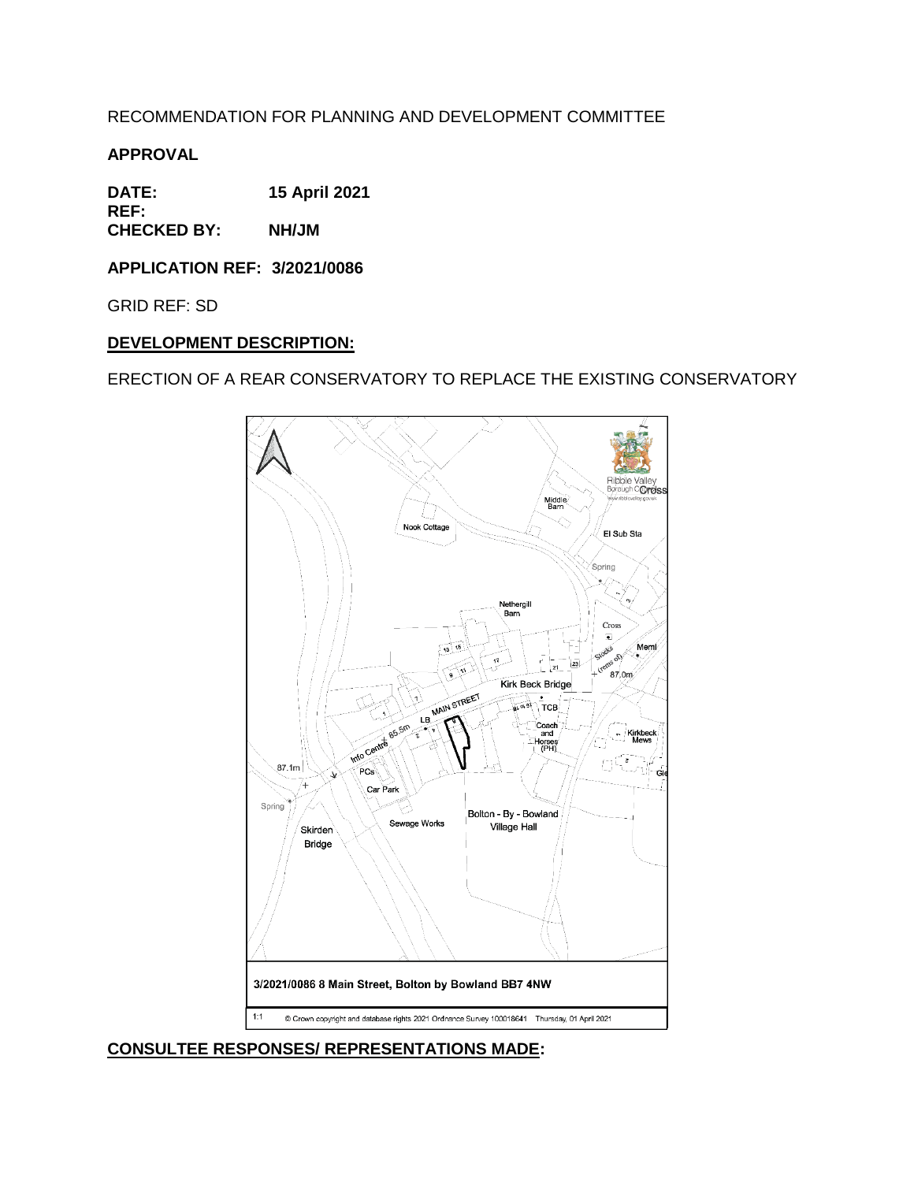RECOMMENDATION FOR PLANNING AND DEVELOPMENT COMMITTEE

**APPROVAL**

**DATE: 15 April 2021 REF:**

**CHECKED BY: NH/JM**

**APPLICATION REF: 3/2021/0086**

GRID REF: SD

### **DEVELOPMENT DESCRIPTION:**

ERECTION OF A REAR CONSERVATORY TO REPLACE THE EXISTING CONSERVATORY



**CONSULTEE RESPONSES/ REPRESENTATIONS MADE:**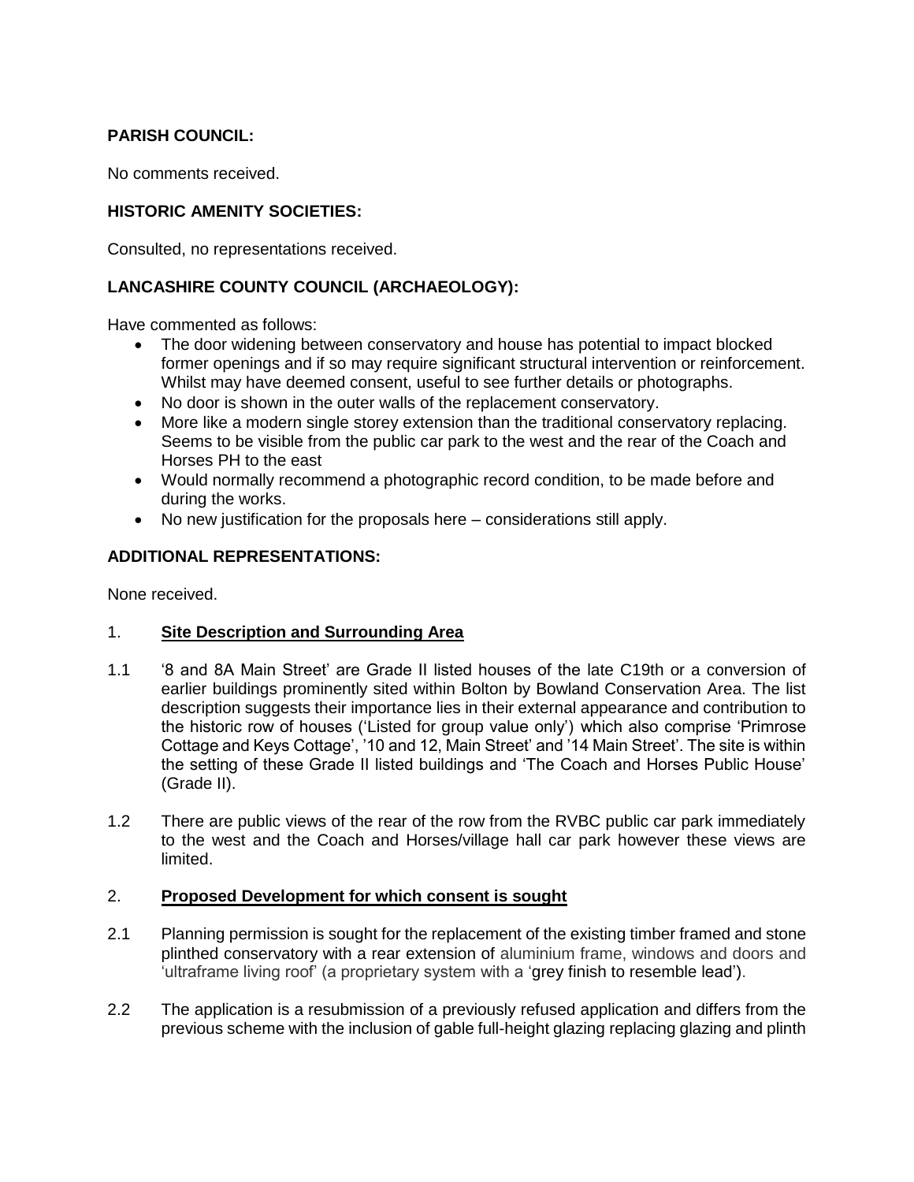# **PARISH COUNCIL:**

No comments received.

## **HISTORIC AMENITY SOCIETIES:**

Consulted, no representations received.

## **LANCASHIRE COUNTY COUNCIL (ARCHAEOLOGY):**

Have commented as follows:

- The door widening between conservatory and house has potential to impact blocked former openings and if so may require significant structural intervention or reinforcement. Whilst may have deemed consent, useful to see further details or photographs.
- No door is shown in the outer walls of the replacement conservatory.
- More like a modern single storey extension than the traditional conservatory replacing. Seems to be visible from the public car park to the west and the rear of the Coach and Horses PH to the east
- Would normally recommend a photographic record condition, to be made before and during the works.
- No new justification for the proposals here considerations still apply.

## **ADDITIONAL REPRESENTATIONS:**

None received.

### 1. **Site Description and Surrounding Area**

- 1.1 '8 and 8A Main Street' are Grade II listed houses of the late C19th or a conversion of earlier buildings prominently sited within Bolton by Bowland Conservation Area. The list description suggests their importance lies in their external appearance and contribution to the historic row of houses ('Listed for group value only') which also comprise 'Primrose Cottage and Keys Cottage', '10 and 12, Main Street' and '14 Main Street'. The site is within the setting of these Grade II listed buildings and 'The Coach and Horses Public House' (Grade II).
- 1.2 There are public views of the rear of the row from the RVBC public car park immediately to the west and the Coach and Horses/village hall car park however these views are limited.

### 2. **Proposed Development for which consent is sought**

- 2.1 Planning permission is sought for the replacement of the existing timber framed and stone plinthed conservatory with a rear extension of aluminium frame, windows and doors and 'ultraframe living roof' (a proprietary system with a 'grey finish to resemble lead').
- 2.2 The application is a resubmission of a previously refused application and differs from the previous scheme with the inclusion of gable full-height glazing replacing glazing and plinth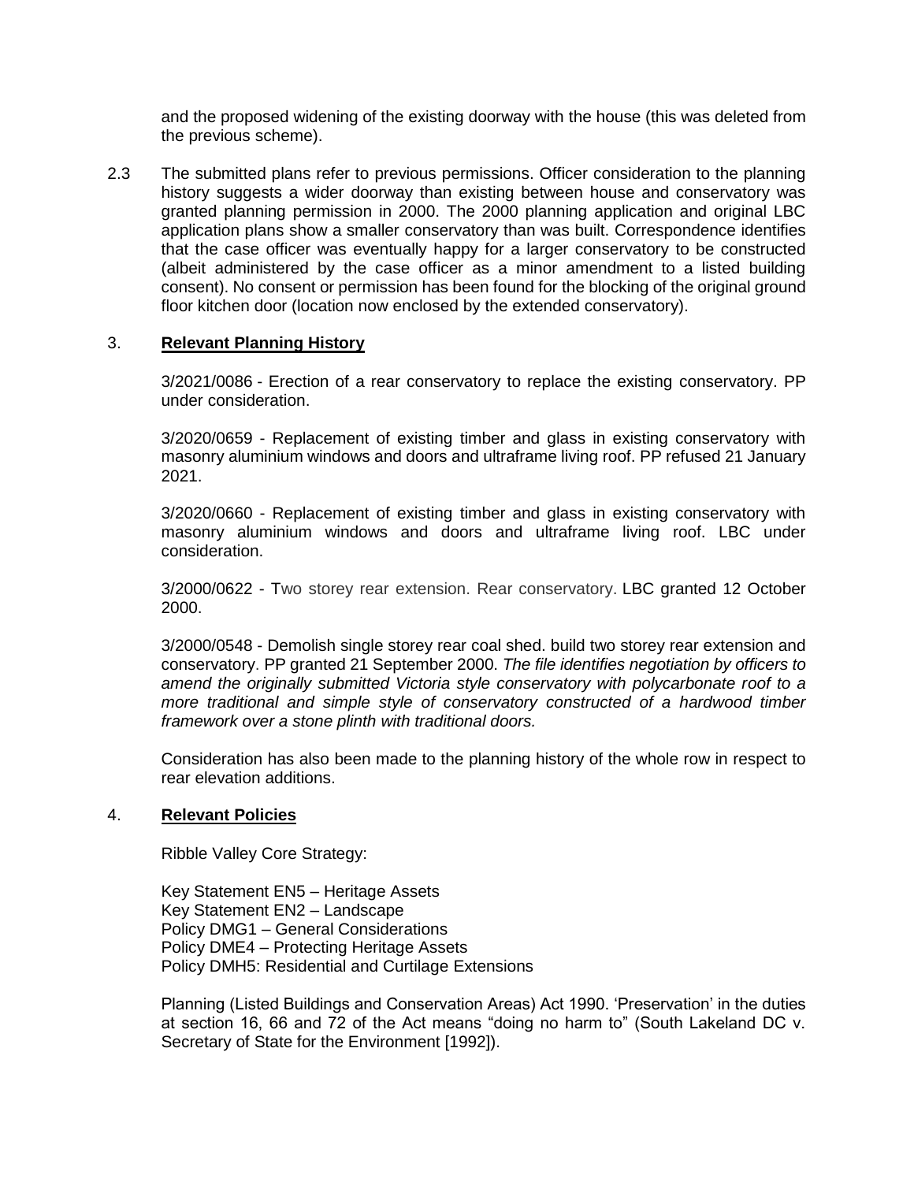and the proposed widening of the existing doorway with the house (this was deleted from the previous scheme).

2.3 The submitted plans refer to previous permissions. Officer consideration to the planning history suggests a wider doorway than existing between house and conservatory was granted planning permission in 2000. The 2000 planning application and original LBC application plans show a smaller conservatory than was built. Correspondence identifies that the case officer was eventually happy for a larger conservatory to be constructed (albeit administered by the case officer as a minor amendment to a listed building consent). No consent or permission has been found for the blocking of the original ground floor kitchen door (location now enclosed by the extended conservatory).

#### 3. **Relevant Planning History**

3/2021/0086 - Erection of a rear conservatory to replace the existing conservatory. PP under consideration.

3/2020/0659 - Replacement of existing timber and glass in existing conservatory with masonry aluminium windows and doors and ultraframe living roof. PP refused 21 January 2021.

3/2020/0660 - Replacement of existing timber and glass in existing conservatory with masonry aluminium windows and doors and ultraframe living roof. LBC under consideration.

3/2000/0622 - Two storey rear extension. Rear conservatory. LBC granted 12 October 2000.

3/2000/0548 - Demolish single storey rear coal shed. build two storey rear extension and conservatory. PP granted 21 September 2000. *The file identifies negotiation by officers to amend the originally submitted Victoria style conservatory with polycarbonate roof to a more traditional and simple style of conservatory constructed of a hardwood timber framework over a stone plinth with traditional doors.*

Consideration has also been made to the planning history of the whole row in respect to rear elevation additions.

#### 4. **Relevant Policies**

Ribble Valley Core Strategy:

Key Statement EN5 – Heritage Assets Key Statement EN2 – Landscape Policy DMG1 – General Considerations Policy DME4 – Protecting Heritage Assets Policy DMH5: Residential and Curtilage Extensions

Planning (Listed Buildings and Conservation Areas) Act 1990. 'Preservation' in the duties at section 16, 66 and 72 of the Act means "doing no harm to" (South Lakeland DC v. Secretary of State for the Environment [1992]).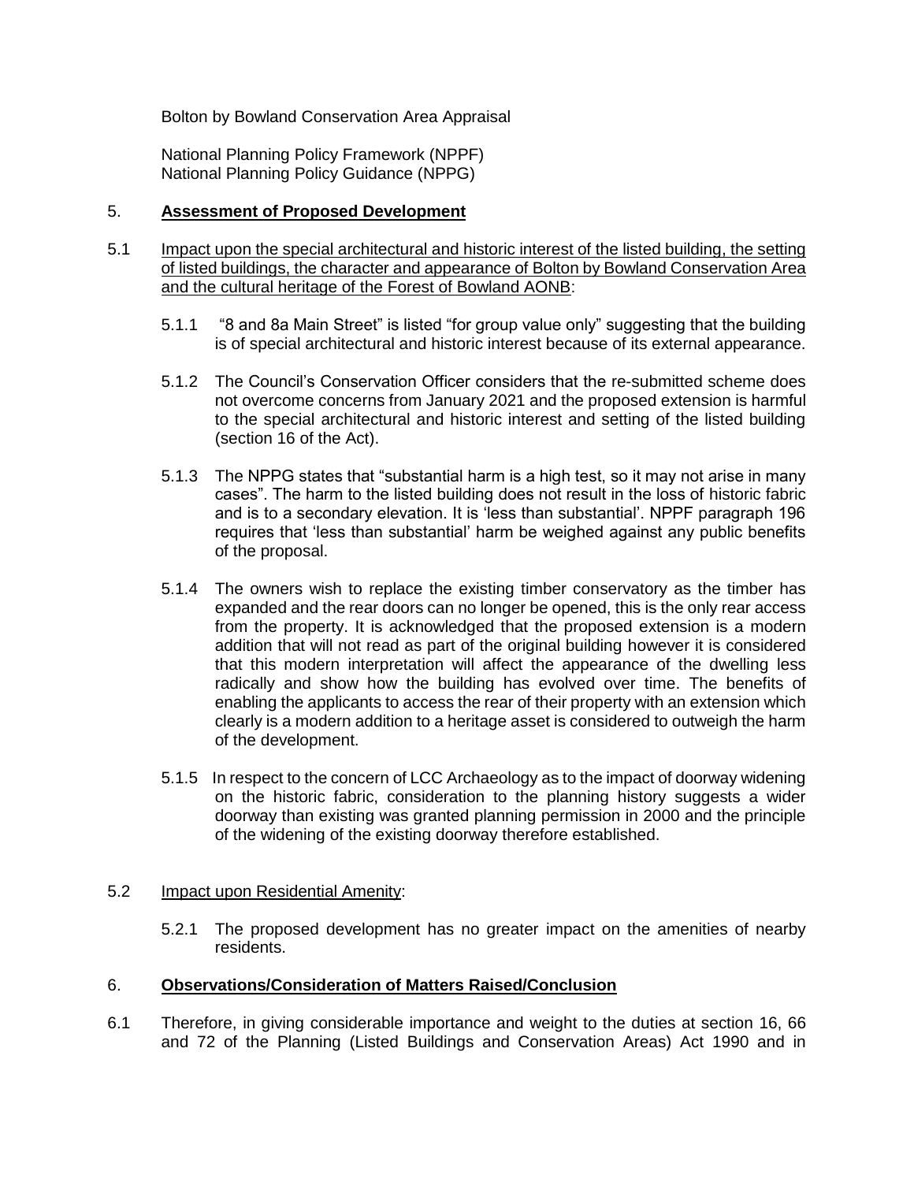Bolton by Bowland Conservation Area Appraisal

National Planning Policy Framework (NPPF) National Planning Policy Guidance (NPPG)

#### 5. **Assessment of Proposed Development**

- 5.1 Impact upon the special architectural and historic interest of the listed building, the setting of listed buildings, the character and appearance of Bolton by Bowland Conservation Area and the cultural heritage of the Forest of Bowland AONB:
	- 5.1.1 "8 and 8a Main Street" is listed "for group value only" suggesting that the building is of special architectural and historic interest because of its external appearance.
	- 5.1.2 The Council's Conservation Officer considers that the re-submitted scheme does not overcome concerns from January 2021 and the proposed extension is harmful to the special architectural and historic interest and setting of the listed building (section 16 of the Act).
	- 5.1.3 The NPPG states that "substantial harm is a high test, so it may not arise in many cases". The harm to the listed building does not result in the loss of historic fabric and is to a secondary elevation. It is 'less than substantial'. NPPF paragraph 196 requires that 'less than substantial' harm be weighed against any public benefits of the proposal.
	- 5.1.4 The owners wish to replace the existing timber conservatory as the timber has expanded and the rear doors can no longer be opened, this is the only rear access from the property. It is acknowledged that the proposed extension is a modern addition that will not read as part of the original building however it is considered that this modern interpretation will affect the appearance of the dwelling less radically and show how the building has evolved over time. The benefits of enabling the applicants to access the rear of their property with an extension which clearly is a modern addition to a heritage asset is considered to outweigh the harm of the development.
	- 5.1.5 In respect to the concern of LCC Archaeology as to the impact of doorway widening on the historic fabric, consideration to the planning history suggests a wider doorway than existing was granted planning permission in 2000 and the principle of the widening of the existing doorway therefore established.

#### 5.2 Impact upon Residential Amenity:

5.2.1 The proposed development has no greater impact on the amenities of nearby residents.

#### 6. **Observations/Consideration of Matters Raised/Conclusion**

6.1 Therefore, in giving considerable importance and weight to the duties at section 16, 66 and 72 of the Planning (Listed Buildings and Conservation Areas) Act 1990 and in